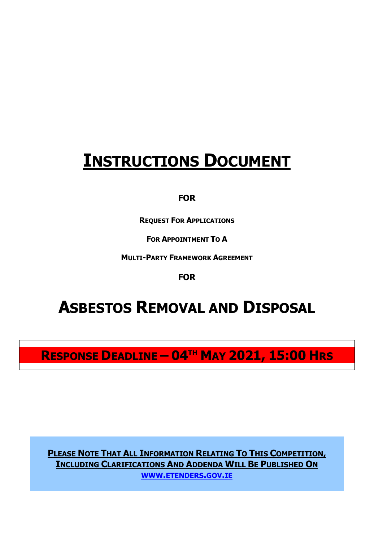# **INSTRUCTIONS DOCUMENT**

## **FOR**

**REQUEST FOR APPLICATIONS**

**FOR APPOINTMENT TO A**

**MULTI-PARTY FRAMEWORK AGREEMENT**

**FOR**

# **ASBESTOS REMOVAL AND DISPOSAL**

**RESPONSE DEADLINE – 04TH MAY 2021, 15:00 HRS**

**PLEASE NOTE THAT ALL INFORMATION RELATING TO THIS COMPETITION, INCLUDING CLARIFICATIONS AND ADDENDA WILL BE PUBLISHED ON WWW.[ETENDERS](http://www.etenders.gov.ie/).GOV.IE**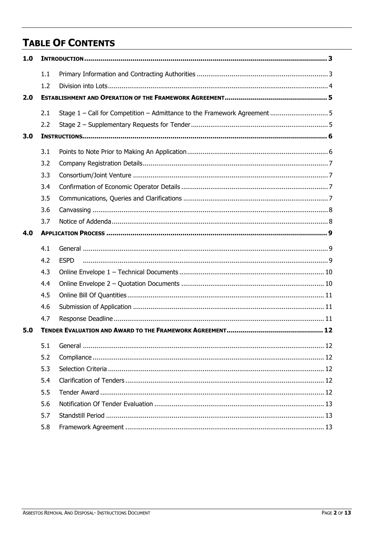# **TABLE OF CONTENTS**

| 1.0 |     |             |  |  |  |
|-----|-----|-------------|--|--|--|
|     | 1.1 |             |  |  |  |
|     | 1.2 |             |  |  |  |
| 2.0 |     |             |  |  |  |
|     | 2.1 |             |  |  |  |
|     | 2.2 |             |  |  |  |
| 3.0 |     |             |  |  |  |
|     | 3.1 |             |  |  |  |
|     | 3.2 |             |  |  |  |
|     | 3.3 |             |  |  |  |
|     | 3.4 |             |  |  |  |
|     | 3.5 |             |  |  |  |
|     | 3.6 |             |  |  |  |
|     | 3.7 |             |  |  |  |
| 4.0 |     |             |  |  |  |
|     | 4.1 |             |  |  |  |
|     | 4.2 | <b>ESPD</b> |  |  |  |
|     | 4.3 |             |  |  |  |
|     | 4.4 |             |  |  |  |
|     | 4.5 |             |  |  |  |
|     | 4.6 |             |  |  |  |
|     | 4.7 |             |  |  |  |
| 5.0 |     |             |  |  |  |
|     | 5.1 |             |  |  |  |
|     | 5.2 |             |  |  |  |
|     | 5.3 |             |  |  |  |
|     | 5.4 |             |  |  |  |
|     | 5.5 |             |  |  |  |
|     | 5.6 |             |  |  |  |
|     | 5.7 |             |  |  |  |
|     | 5.8 |             |  |  |  |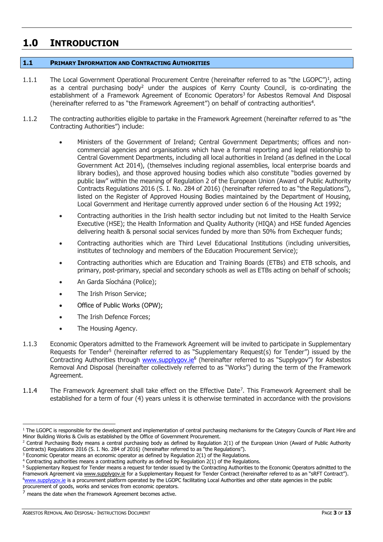# <span id="page-2-0"></span>**1.0 INTRODUCTION**

## <span id="page-2-1"></span>**1.1 PRIMARY INFORMATION AND CONTRACTING AUTHORITIES**

- 1.1.1 The Local Government Operational Procurement Centre (hereinafter referred to as "the LGOPC")<sup>1</sup>, acting as a central purchasing body<sup>2</sup> under the auspices of Kerry County Council, is co-ordinating the establishment of a Framework Agreement of Economic Operators<sup>3</sup> for Asbestos Removal And Disposal (hereinafter referred to as "the Framework Agreement") on behalf of contracting authorities<sup>4</sup>.
- 1.1.2 The contracting authorities eligible to partake in the Framework Agreement (hereinafter referred to as "the Contracting Authorities") include:
	- Ministers of the Government of Ireland; Central Government Departments; offices and noncommercial agencies and organisations which have a formal reporting and legal relationship to Central Government Departments, including all local authorities in Ireland (as defined in the Local Government Act 2014), (themselves including regional assemblies, local enterprise boards and library bodies), and those approved housing bodies which also constitute "bodies governed by public law" within the meaning of Regulation 2 of the European Union (Award of Public Authority Contracts Regulations 2016 (S. I. No. 284 of 2016) (hereinafter referred to as "the Regulations"), listed on the Register of Approved Housing Bodies maintained by the Department of Housing, Local Government and Heritage currently approved under section 6 of the Housing Act 1992;
	- Contracting authorities in the Irish health sector including but not limited to the Health Service Executive (HSE); the Health Information and Quality Authority (HIQA) and HSE funded Agencies delivering health & personal social services funded by more than 50% from Exchequer funds;
	- Contracting authorities which are Third Level Educational Institutions (including universities, institutes of technology and members of the Education Procurement Service);
	- Contracting authorities which are Education and Training Boards (ETBs) and ETB schools, and primary, post-primary, special and secondary schools as well as ETBs acting on behalf of schools;
	- An Garda Síochána (Police);
	- The Irish Prison Service;
	- Office of Public Works (OPW);
	- The Irish Defence Forces;
	- The Housing Agency.
- 1.1.3 Economic Operators admitted to the Framework Agreement will be invited to participate in Supplementary Requests for Tender<sup>5</sup> (hereinafter referred to as "Supplementary Request(s) for Tender") issued by the Contracting Authorities through [www.supplygov.ie](http://www.supplygov.ie/)<sup>6</sup> (hereinafter referred to as "Supplygov") for Asbestos Removal And Disposal (hereinafter collectively referred to as "Works") during the term of the Framework Agreement.
- 1.1.4 The Framework Agreement shall take effect on the Effective Date<sup>7</sup>. This Framework Agreement shall be established for a term of four (4) years unless it is otherwise terminated in accordance with the provisions

 $1$  The LGOPC is responsible for the development and implementation of central purchasing mechanisms for the Category Councils of Plant Hire and Minor Building Works & Civils as established by the Office of Government Procurement.

 $2$  Central Purchasing Body means a central purchasing body as defined by Regulation 2(1) of the European Union (Award of Public Authority Contracts) Regulations 2016 (S. I. No. 284 of 2016) (hereinafter referred to as "the Regulations").

 $3$  Economic Operator means an economic operator as defined by Regulation 2(1) of the Regulations.

<sup>&</sup>lt;sup>4</sup> Contracting authorities means a contracting authority as defined by Regulation 2(1) of the Regulations.

<sup>&</sup>lt;sup>5</sup> Supplementary Request for Tender means a request for tender issued by the Contracting Authorities to the Economic Operators admitted to the Framework Agreement via [www.supplygov.ie](http://www.supplygov.ie/) for a Supplementary Request for Tender Contract (hereinafter referred to as an "sRFT Contract"). <sup>6</sup>[www.supplygov.](http://www.supplygov/)ie is a procurement platform operated by the LGOPC facilitating Local Authorities and other state agencies in the public

procurement of goods, works and services from economic operators.  $7$  means the date when the Framework Agreement becomes active.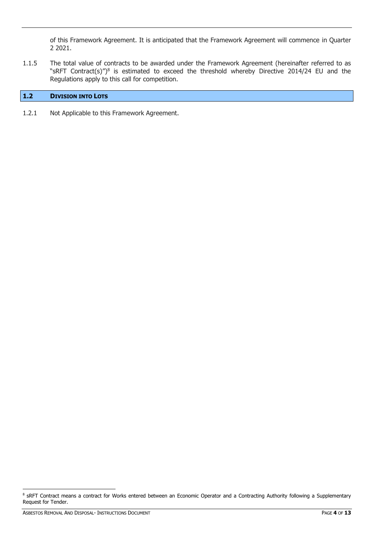of this Framework Agreement. It is anticipated that the Framework Agreement will commence in Quarter 2 2021.

1.1.5 The total value of contracts to be awarded under the Framework Agreement (hereinafter referred to as "sRFT Contract(s)")<sup>8</sup> is estimated to exceed the threshold whereby Directive 2014/24 EU and the Regulations apply to this call for competition.

## <span id="page-3-0"></span>**1.2 DIVISION INTO LOTS**

1.2.1 Not Applicable to this Framework Agreement.

-

<sup>&</sup>lt;sup>8</sup> sRFT Contract means a contract for Works entered between an Economic Operator and a Contracting Authority following a Supplementary Request for Tender.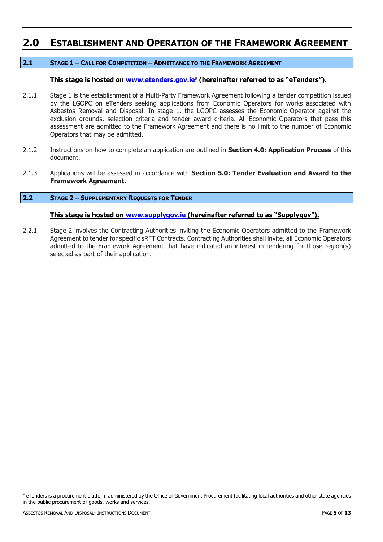# <span id="page-4-0"></span>**2.0 ESTABLISHMENT AND OPERATION OF THE FRAMEWORK AGREEMENT**

## <span id="page-4-1"></span>**2.1 STAGE 1 – CALL FOR COMPETITION – ADMITTANCE TO THE FRAMEWORK AGREEMENT**

## **This stage is hosted on [www.etenders.gov.ie](http://www.etenders.gov.ie/)**<sup>9</sup> **(hereinafter referred to as "eTenders").**

- 2.1.1 Stage 1 is the establishment of a Multi-Party Framework Agreement following a tender competition issued by the LGOPC on eTenders seeking applications from Economic Operators for works associated with Asbestos Removal and Disposal. In stage 1, the LGOPC assesses the Economic Operator against the exclusion grounds, selection criteria and tender award criteria. All Economic Operators that pass this assessment are admitted to the Framework Agreement and there is no limit to the number of Economic Operators that may be admitted.
- 2.1.2 Instructions on how to complete an application are outlined in **Section 4.0: Application Process** of this document.
- 2.1.3 Applications will be assessed in accordance with **Section 5.0: Tender Evaluation and Award to the Framework Agreement**.

## <span id="page-4-2"></span>**2.2 STAGE 2 – SUPPLEMENTARY REQUESTS FOR TENDER**

## **This stage is hosted on [www.supplygov.ie](http://www.supplygov.ie/) (hereinafter referred to as "Supplygov").**

2.2.1 Stage 2 involves the Contracting Authorities inviting the Economic Operators admitted to the Framework Agreement to tender for specific sRFT Contracts. Contracting Authorities shall invite, all Economic Operators admitted to the Framework Agreement that have indicated an interest in tendering for those region(s) selected as part of their application.

-

<sup>9</sup> eTenders is a procurement platform administered by the Office of Government Procurement facilitating local authorities and other state agencies in the public procurement of goods, works and services.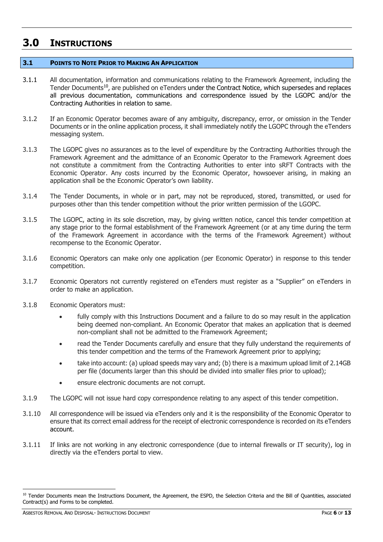# <span id="page-5-0"></span>**3.0 INSTRUCTIONS**

## <span id="page-5-1"></span>**3.1 POINTS TO NOTE PRIOR TO MAKING AN APPLICATION**

- 3.1.1 All documentation, information and communications relating to the Framework Agreement, including the Tender Documents<sup>10</sup>, are published on eTenders under the Contract Notice, which supersedes and replaces all previous documentation, communications and correspondence issued by the LGOPC and/or the Contracting Authorities in relation to same.
- 3.1.2 If an Economic Operator becomes aware of any ambiguity, discrepancy, error, or omission in the Tender Documents or in the online application process, it shall immediately notify the LGOPC through the eTenders messaging system.
- 3.1.3 The LGOPC gives no assurances as to the level of expenditure by the Contracting Authorities through the Framework Agreement and the admittance of an Economic Operator to the Framework Agreement does not constitute a commitment from the Contracting Authorities to enter into sRFT Contracts with the Economic Operator. Any costs incurred by the Economic Operator, howsoever arising, in making an application shall be the Economic Operator's own liability.
- 3.1.4 The Tender Documents, in whole or in part, may not be reproduced, stored, transmitted, or used for purposes other than this tender competition without the prior written permission of the LGOPC.
- 3.1.5 The LGOPC, acting in its sole discretion, may, by giving written notice, cancel this tender competition at any stage prior to the formal establishment of the Framework Agreement (or at any time during the term of the Framework Agreement in accordance with the terms of the Framework Agreement) without recompense to the Economic Operator.
- 3.1.6 Economic Operators can make only one application (per Economic Operator) in response to this tender competition.
- 3.1.7 Economic Operators not currently registered on eTenders must register as a "Supplier" on eTenders in order to make an application.
- 3.1.8 Economic Operators must:
	- fully comply with this Instructions Document and a failure to do so may result in the application being deemed non-compliant. An Economic Operator that makes an application that is deemed non-compliant shall not be admitted to the Framework Agreement;
	- read the Tender Documents carefully and ensure that they fully understand the requirements of this tender competition and the terms of the Framework Agreement prior to applying;
	- take into account: (a) upload speeds may vary and; (b) there is a maximum upload limit of 2.14GB per file (documents larger than this should be divided into smaller files prior to upload);
	- ensure electronic documents are not corrupt.
- 3.1.9 The LGOPC will not issue hard copy correspondence relating to any aspect of this tender competition.
- 3.1.10 All correspondence will be issued via eTenders only and it is the responsibility of the Economic Operator to ensure that its correct email address for the receipt of electronic correspondence is recorded on its eTenders account.
- 3.1.11 If links are not working in any electronic correspondence (due to internal firewalls or IT security), log in directly via the eTenders portal to view.

<sup>-</sup><sup>10</sup> Tender Documents mean the Instructions Document, the Agreement, the ESPD, the Selection Criteria and the Bill of Quantities, associated Contract(s) and Forms to be completed.

ASBESTOS REMOVAL AND DISPOSAL- INSTRUCTIONS DOCUMENT **AND ASSESSED ASSESSED ASSESSED FOR A SET ASSESSED PAGE 6 OF 13**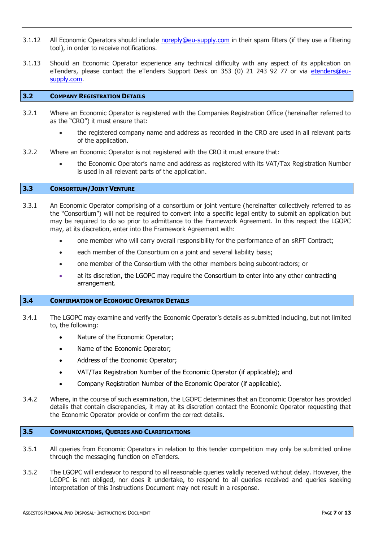- 3.1.12 All Economic Operators should include [noreply@eu-supply.com](mailto:noreply@eu-supply.com) in their spam filters (if they use a filtering tool), in order to receive notifications.
- 3.1.13 Should an Economic Operator experience any technical difficulty with any aspect of its application on eTenders, please contact the eTenders Support Desk on 353 (0) 21 243 92 77 or via etenders@eusupply.com.

## <span id="page-6-0"></span>**3.2 COMPANY REGISTRATION DETAILS**

- 3.2.1 Where an Economic Operator is registered with the Companies Registration Office (hereinafter referred to as the "CRO") it must ensure that:
	- the registered company name and address as recorded in the CRO are used in all relevant parts of the application.
- 3.2.2 Where an Economic Operator is not registered with the CRO it must ensure that:
	- the Economic Operator's name and address as registered with its VAT/Tax Registration Number is used in all relevant parts of the application.

## <span id="page-6-1"></span>**3.3 CONSORTIUM/JOINT VENTURE**

- 3.3.1 An Economic Operator comprising of a consortium or joint venture (hereinafter collectively referred to as the "Consortium") will not be required to convert into a specific legal entity to submit an application but may be required to do so prior to admittance to the Framework Agreement. In this respect the LGOPC may, at its discretion, enter into the Framework Agreement with:
	- one member who will carry overall responsibility for the performance of an sRFT Contract;
	- each member of the Consortium on a joint and several liability basis;
	- one member of the Consortium with the other members being subcontractors; or
	- at its discretion, the LGOPC may require the Consortium to enter into any other contracting arrangement.

#### <span id="page-6-2"></span>**3.4 CONFIRMATION OF ECONOMIC OPERATOR DETAILS**

- 3.4.1 The LGOPC may examine and verify the Economic Operator's details as submitted including, but not limited to, the following:
	- Nature of the Economic Operator;
	- Name of the Economic Operator;
	- Address of the Economic Operator;
	- VAT/Tax Registration Number of the Economic Operator (if applicable); and
	- Company Registration Number of the Economic Operator (if applicable).
- 3.4.2 Where, in the course of such examination, the LGOPC determines that an Economic Operator has provided details that contain discrepancies, it may at its discretion contact the Economic Operator requesting that the Economic Operator provide or confirm the correct details.

#### <span id="page-6-3"></span>**3.5 COMMUNICATIONS, QUERIES AND CLARIFICATIONS**

- 3.5.1 All queries from Economic Operators in relation to this tender competition may only be submitted online through the messaging function on eTenders.
- 3.5.2 The LGOPC will endeavor to respond to all reasonable queries validly received without delay. However, the LGOPC is not obliged, nor does it undertake, to respond to all queries received and queries seeking interpretation of this Instructions Document may not result in a response.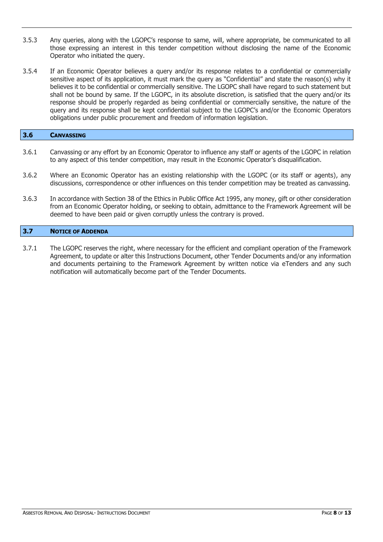- 3.5.3 Any queries, along with the LGOPC's response to same, will, where appropriate, be communicated to all those expressing an interest in this tender competition without disclosing the name of the Economic Operator who initiated the query.
- 3.5.4 If an Economic Operator believes a query and/or its response relates to a confidential or commercially sensitive aspect of its application, it must mark the query as "Confidential" and state the reason(s) why it believes it to be confidential or commercially sensitive. The LGOPC shall have regard to such statement but shall not be bound by same. If the LGOPC, in its absolute discretion, is satisfied that the query and/or its response should be properly regarded as being confidential or commercially sensitive, the nature of the query and its response shall be kept confidential subject to the LGOPC's and/or the Economic Operators obligations under public procurement and freedom of information legislation.

<span id="page-7-0"></span>

- 3.6.1 Canvassing or any effort by an Economic Operator to influence any staff or agents of the LGOPC in relation to any aspect of this tender competition, may result in the Economic Operator's disqualification.
- 3.6.2 Where an Economic Operator has an existing relationship with the LGOPC (or its staff or agents), any discussions, correspondence or other influences on this tender competition may be treated as canvassing.
- 3.6.3 In accordance with Section 38 of the Ethics in Public Office Act 1995, any money, gift or other consideration from an Economic Operator holding, or seeking to obtain, admittance to the Framework Agreement will be deemed to have been paid or given corruptly unless the contrary is proved.

## <span id="page-7-1"></span>**3.7 NOTICE OF ADDENDA**

3.7.1 The LGOPC reserves the right, where necessary for the efficient and compliant operation of the Framework Agreement, to update or alter this Instructions Document, other Tender Documents and/or any information and documents pertaining to the Framework Agreement by written notice via eTenders and any such notification will automatically become part of the Tender Documents.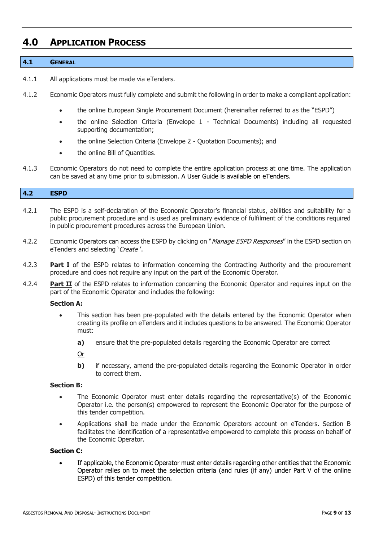## <span id="page-8-0"></span>**4.0 APPLICATION PROCESS**

## <span id="page-8-1"></span>**4.1 GENERAL**

- 4.1.1 All applications must be made via eTenders.
- 4.1.2 Economic Operators must fully complete and submit the following in order to make a compliant application:
	- the online European Single Procurement Document (hereinafter referred to as the "ESPD")
	- the online Selection Criteria (Envelope 1 Technical Documents) including all requested supporting documentation;
	- the online Selection Criteria (Envelope 2 Quotation Documents); and
	- the online Bill of Quantities.
- 4.1.3 Economic Operators do not need to complete the entire application process at one time. The application can be saved at any time prior to submission. A User Guide is available on eTenders.

## <span id="page-8-2"></span>**4.2 ESPD**

- 4.2.1 The ESPD is a self-declaration of the Economic Operator's financial status, abilities and suitability for a public procurement procedure and is used as preliminary evidence of fulfilment of the conditions required in public procurement procedures across the European Union.
- 4.2.2 Economic Operators can access the ESPD by clicking on "*Manage ESPD Responses*" in the ESPD section on eTenders and selecting 'Create'.
- 4.2.3 **Part I** of the ESPD relates to information concerning the Contracting Authority and the procurement procedure and does not require any input on the part of the Economic Operator.
- 4.2.4 **Part II** of the ESPD relates to information concerning the Economic Operator and requires input on the part of the Economic Operator and includes the following:

## **Section A:**

- This section has been pre-populated with the details entered by the Economic Operator when creating its profile on eTenders and it includes questions to be answered. The Economic Operator must:
	- **a)** ensure that the pre-populated details regarding the Economic Operator are correct

Or

**b)** if necessary, amend the pre-populated details regarding the Economic Operator in order to correct them.

## **Section B:**

- The Economic Operator must enter details regarding the representative(s) of the Economic Operator i.e. the person(s) empowered to represent the Economic Operator for the purpose of this tender competition.
- Applications shall be made under the Economic Operators account on eTenders. Section B facilitates the identification of a representative empowered to complete this process on behalf of the Economic Operator.

## **Section C:**

 If applicable, the Economic Operator must enter details regarding other entities that the Economic Operator relies on to meet the selection criteria (and rules (if any) under Part V of the online ESPD) of this tender competition.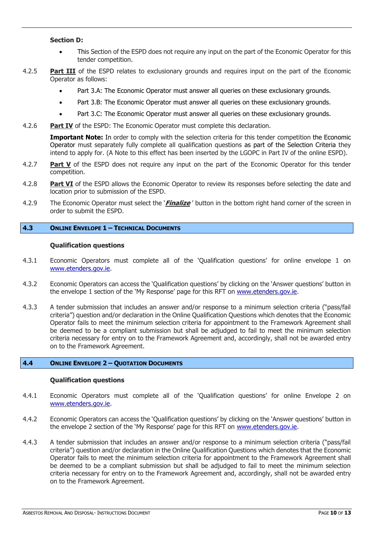## **Section D:**

- This Section of the ESPD does not require any input on the part of the Economic Operator for this tender competition.
- 4.2.5 **Part III** of the ESPD relates to exclusionary grounds and requires input on the part of the Economic Operator as follows:
	- Part 3.A: The Economic Operator must answer all queries on these exclusionary grounds.
	- Part 3.B: The Economic Operator must answer all queries on these exclusionary grounds.
	- Part 3.C: The Economic Operator must answer all queries on these exclusionary grounds.
- 4.2.6 **Part IV** of the ESPD: The Economic Operator must complete this declaration.

**Important Note:** In order to comply with the selection criteria for this tender competition the Economic Operator must separately fully complete all qualification questions as part of the Selection Criteria they intend to apply for. (A Note to this effect has been inserted by the LGOPC in Part IV of the online ESPD).

- 4.2.7 **Part V** of the ESPD does not require any input on the part of the Economic Operator for this tender competition.
- 4.2.8 **Part VI** of the ESPD allows the Economic Operator to review its responses before selecting the date and location prior to submission of the ESPD.
- 4.2.9 The Economic Operator must select the '**Finalize** ' button in the bottom right hand corner of the screen in order to submit the ESPD.

## <span id="page-9-0"></span>**4.3 ONLINE ENVELOPE 1 – TECHNICAL DOCUMENTS**

## **Qualification questions**

- 4.3.1 Economic Operators must complete all of the 'Qualification questions' for online envelope 1 on [www.etenders.gov.ie.](http://www.etenders.gov.ie/)
- 4.3.2 Economic Operators can access the 'Qualification questions' by clicking on the 'Answer questions' button in the envelope 1 section of the 'My Response' page for this RFT on [www.etenders.gov.ie.](http://www.etenders.gov.ie/)
- 4.3.3 A tender submission that includes an answer and/or response to a minimum selection criteria ("pass/fail criteria") question and/or declaration in the Online Qualification Questions which denotes that the Economic Operator fails to meet the minimum selection criteria for appointment to the Framework Agreement shall be deemed to be a compliant submission but shall be adjudged to fail to meet the minimum selection criteria necessary for entry on to the Framework Agreement and, accordingly, shall not be awarded entry on to the Framework Agreement.

## <span id="page-9-1"></span>**4.4 ONLINE ENVELOPE 2 – QUOTATION DOCUMENTS**

## **Qualification questions**

- 4.4.1 Economic Operators must complete all of the 'Qualification questions' for online Envelope 2 on [www.etenders.gov.ie.](http://www.etenders.gov.ie/)
- 4.4.2 Economic Operators can access the 'Qualification questions' by clicking on the 'Answer questions' button in the envelope 2 section of the 'My Response' page for this RFT on [www.etenders.gov.ie.](http://www.etenders.gov.ie/)
- 4.4.3 A tender submission that includes an answer and/or response to a minimum selection criteria ("pass/fail criteria") question and/or declaration in the Online Qualification Questions which denotes that the Economic Operator fails to meet the minimum selection criteria for appointment to the Framework Agreement shall be deemed to be a compliant submission but shall be adjudged to fail to meet the minimum selection criteria necessary for entry on to the Framework Agreement and, accordingly, shall not be awarded entry on to the Framework Agreement.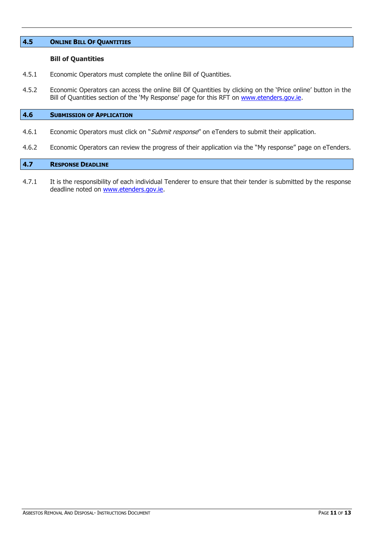## <span id="page-10-0"></span>**4.5 ONLINE BILL OF QUANTITIES**

## **Bill of Quantities**

- 4.5.1 Economic Operators must complete the online Bill of Quantities.
- 4.5.2 Economic Operators can access the online Bill Of Quantities by clicking on the 'Price online' button in the Bill of Quantities section of the 'My Response' page for this RFT on [www.etenders.gov.ie.](http://www.etenders.gov.ie/)

## <span id="page-10-1"></span>**4.6 SUBMISSION OF APPLICATION**

- 4.6.1 Economic Operators must click on "Submit response" on eTenders to submit their application.
- 4.6.2 Economic Operators can review the progress of their application via the "My response" page on [eTenders.](http://www.etenders.gov.ie/)

## <span id="page-10-2"></span>**4.7 RESPONSE DEADLINE**

4.7.1 It is the responsibility of each individual Tenderer to ensure that their tender is submitted by the response deadline noted on [www.etenders.gov.ie.](http://www.etenders.gov.ie/)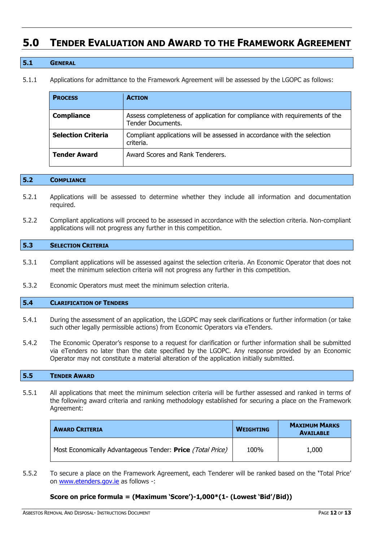# <span id="page-11-0"></span>**5.0 TENDER EVALUATION AND AWARD TO THE FRAMEWORK AGREEMENT**

## <span id="page-11-1"></span>**5.1 GENERAL**

5.1.1 Applications for admittance to the Framework Agreement will be assessed by the LGOPC as follows:

| <b>PROCESS</b>            | <b>ACTION</b>                                                                                   |
|---------------------------|-------------------------------------------------------------------------------------------------|
| <b>Compliance</b>         | Assess completeness of application for compliance with requirements of the<br>Tender Documents. |
| <b>Selection Criteria</b> | Compliant applications will be assessed in accordance with the selection<br>criteria.           |
| <b>Tender Award</b>       | Award Scores and Rank Tenderers.                                                                |

## <span id="page-11-2"></span>**5.2 COMPLIANCE**

- 5.2.1 Applications will be assessed to determine whether they include all information and documentation required.
- 5.2.2 Compliant applications will proceed to be assessed in accordance with the selection criteria. Non-compliant applications will not progress any further in this competition.

## <span id="page-11-3"></span>**5.3 SELECTION CRITERIA**

- 5.3.1 Compliant applications will be assessed against the selection criteria. An Economic Operator that does not meet the minimum selection criteria will not progress any further in this competition.
- 5.3.2 Economic Operators must meet the minimum selection criteria.

## <span id="page-11-4"></span>**5.4 CLARIFICATION OF TENDERS**

- 5.4.1 During the assessment of an application, the LGOPC may seek clarifications or further information (or take such other legally permissible actions) from Economic Operators via eTenders.
- 5.4.2 The Economic Operator's response to a request for clarification or further information shall be submitted via eTenders no later than the date specified by the LGOPC. Any response provided by an Economic Operator may not constitute a material alteration of the application initially submitted.

#### <span id="page-11-5"></span>**5.5 TENDER AWARD**

5.5.1 All applications that meet the minimum selection criteria will be further assessed and ranked in terms of the following award criteria and ranking methodology established for securing a place on the Framework Agreement:

| <b>AWARD CRITERIA</b>                                      | <b>WEIGHTING</b> | <b>MAXIMUM MARKS</b><br><b>AVAILABLE</b> |
|------------------------------------------------------------|------------------|------------------------------------------|
| Most Economically Advantageous Tender: Price (Total Price) | 100%             | 1,000                                    |

5.5.2 To secure a place on the Framework Agreement, each Tenderer will be ranked based on the **'**Total Price' on [www.etenders.gov.ie](http://www.etenders.gov.ie/) as follows -:

## **Score on price formula = (Maximum 'Score')-1,000\*(1- (Lowest 'Bid'/Bid))**